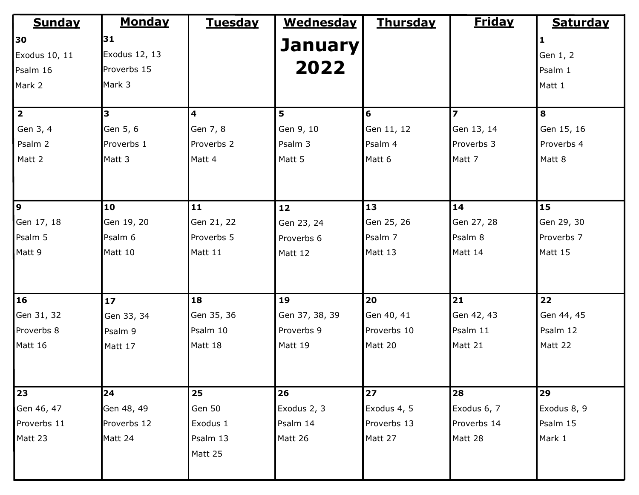| <b>Sunday</b> | <b>Monday</b> | <b>Tuesday</b> | <b>Wednesday</b> | <u>Thursday</u> | <b>Friday</b> | <b>Saturday</b> |
|---------------|---------------|----------------|------------------|-----------------|---------------|-----------------|
| 30            | 31            |                |                  |                 |               | 1               |
| Exodus 10, 11 | Exodus 12, 13 |                | <b>January</b>   |                 |               | Gen 1, 2        |
| Psalm 16      | Proverbs 15   |                | 2022             |                 |               | Psalm 1         |
| Mark 2        | Mark 3        |                |                  |                 |               | Matt 1          |
| $\boxed{2}$   | 3             | 4              | 5                | 6               | 7             | 8               |
| Gen 3, 4      | Gen 5, 6      | Gen 7, 8       | Gen 9, 10        | Gen 11, 12      | Gen 13, 14    | Gen 15, 16      |
| Psalm 2       | Proverbs 1    | Proverbs 2     | Psalm 3          | Psalm 4         | Proverbs 3    | Proverbs 4      |
| Matt 2        | Matt 3        | Matt 4         | Matt 5           | Matt 6          | Matt 7        | Matt 8          |
| 9             | 10            | 11             | 12               | 13              | 14            | 15              |
| Gen 17, 18    | Gen 19, 20    | Gen 21, 22     | Gen 23, 24       | Gen 25, 26      | Gen 27, 28    | Gen 29, 30      |
| Psalm 5       | Psalm 6       | Proverbs 5     | Proverbs 6       | Psalm 7         | Psalm 8       | Proverbs 7      |
| Matt 9        | Matt 10       | Matt 11        | Matt 12          | Matt 13         | Matt 14       | Matt 15         |
| 16            | 17            | 18             | 19               | 20              | 21            | 22              |
| Gen 31, 32    | Gen 33, 34    | Gen 35, 36     | Gen 37, 38, 39   | Gen 40, 41      | Gen 42, 43    | Gen 44, 45      |
| Proverbs 8    | Psalm 9       | Psalm 10       | Proverbs 9       | Proverbs 10     | Psalm 11      | Psalm 12        |
| Matt 16       | Matt 17       | Matt 18        | Matt 19          | Matt 20         | Matt 21       | Matt 22         |
| 23            | 24            | 25             | 26               | 27              | 28            | 29              |
| Gen 46, 47    | Gen 48, 49    | Gen 50         | Exodus 2, 3      | Exodus 4, 5     | Exodus 6, 7   | Exodus 8, 9     |
| Proverbs 11   | Proverbs 12   | Exodus 1       | Psalm 14         | Proverbs 13     | Proverbs 14   | Psalm 15        |
| Matt 23       | Matt 24       | Psalm 13       | Matt 26          | Matt 27         | Matt 28       | Mark 1          |
|               |               | Matt 25        |                  |                 |               |                 |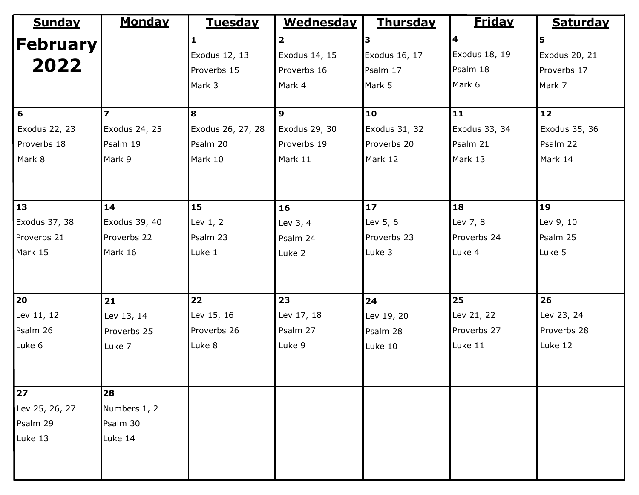| <b>Sunday</b>     | <b>Monday</b>            | <b>Tuesday</b>    | <b>Wednesday</b>        | <b>Thursday</b> | <b>Friday</b>      | <b>Saturday</b> |
|-------------------|--------------------------|-------------------|-------------------------|-----------------|--------------------|-----------------|
| <b> February </b> |                          |                   | $\overline{\mathbf{2}}$ |                 | $\overline{\bf 4}$ | 5               |
|                   |                          | Exodus 12, 13     | Exodus 14, 15           | Exodus 16, 17   | Exodus 18, 19      | Exodus 20, 21   |
| 2022              |                          | Proverbs 15       | Proverbs 16             | Psalm 17        | Psalm 18           | Proverbs 17     |
|                   |                          | Mark 3            | Mark 4                  | Mark 5          | Mark 6             | Mark 7          |
|                   |                          |                   |                         |                 |                    |                 |
| $6\phantom{1}6$   | $\overline{\phantom{a}}$ | 8                 | 9                       | 10              | 11                 | 12              |
| Exodus 22, 23     | Exodus 24, 25            | Exodus 26, 27, 28 | Exodus 29, 30           | Exodus 31, 32   | Exodus 33, 34      | Exodus 35, 36   |
| Proverbs 18       | Psalm 19                 | Psalm 20          | Proverbs 19             | Proverbs 20     | Psalm 21           | Psalm 22        |
| Mark 8            | Mark 9                   | Mark 10           | Mark 11                 | Mark 12         | Mark 13            | Mark 14         |
|                   |                          |                   |                         |                 |                    |                 |
|                   |                          |                   |                         |                 |                    |                 |
| 13                | 14                       | 15                | 16                      | 17              | 18                 | 19              |
| Exodus 37, 38     | Exodus 39, 40            | Lev 1, 2          | Lev 3, 4                | Lev 5, 6        | Lev 7, 8           | Lev 9, 10       |
| Proverbs 21       | Proverbs 22              | Psalm 23          | Psalm 24                | Proverbs 23     | Proverbs 24        | Psalm 25        |
| Mark 15           | Mark 16                  | Luke 1            | Luke 2                  | Luke 3          | Luke 4             | Luke 5          |
|                   |                          |                   |                         |                 |                    |                 |
|                   |                          |                   |                         |                 |                    |                 |
| 20                | 21                       | 22                | 23                      | 24              | 25                 | 26              |
| Lev 11, 12        | Lev 13, 14               | Lev 15, 16        | Lev 17, 18              | Lev 19, 20      | Lev 21, 22         | Lev 23, 24      |
| Psalm 26          | Proverbs 25              | Proverbs 26       | Psalm 27                | Psalm 28        | Proverbs 27        | Proverbs 28     |
| Luke 6            | Luke 7                   | Luke 8            | Luke 9                  | Luke 10         | Luke 11            | Luke 12         |
|                   |                          |                   |                         |                 |                    |                 |
|                   |                          |                   |                         |                 |                    |                 |
| 27                | 28                       |                   |                         |                 |                    |                 |
| Lev 25, 26, 27    | Numbers 1, 2             |                   |                         |                 |                    |                 |
| Psalm 29          | Psalm 30                 |                   |                         |                 |                    |                 |
| Luke 13           | Luke 14                  |                   |                         |                 |                    |                 |
|                   |                          |                   |                         |                 |                    |                 |
|                   |                          |                   |                         |                 |                    |                 |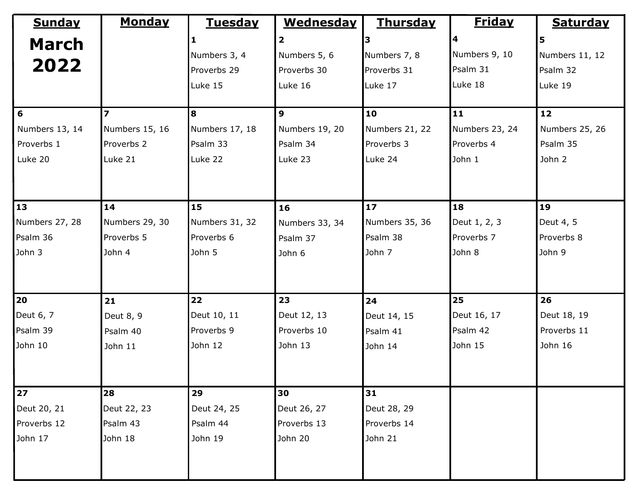| <b>Sunday</b>  | <b>Monday</b>           | <b>Tuesday</b> | <b>Wednesday</b>        | <u>Thursday</u> | <b>Friday</b>  | <b>Saturday</b> |
|----------------|-------------------------|----------------|-------------------------|-----------------|----------------|-----------------|
| <b>March</b>   |                         |                | $\overline{\mathbf{2}}$ |                 | 4              | 5               |
|                |                         | Numbers 3, 4   | Numbers 5, 6            | Numbers 7, 8    | Numbers 9, 10  | Numbers 11, 12  |
| 2022           |                         | Proverbs 29    | Proverbs 30             | Proverbs 31     | Psalm 31       | Psalm 32        |
|                |                         | Luke 15        | Luke 16                 | Luke 17         | Luke 18        | Luke 19         |
|                |                         |                |                         |                 |                |                 |
| 6              | $\overline{\mathbf{z}}$ | 8              | $\overline{9}$          | 10              | 11             | 12              |
| Numbers 13, 14 | Numbers 15, 16          | Numbers 17, 18 | Numbers 19, 20          | Numbers 21, 22  | Numbers 23, 24 | Numbers 25, 26  |
| Proverbs 1     | Proverbs 2              | Psalm 33       | Psalm 34                | Proverbs 3      | Proverbs 4     | Psalm 35        |
| Luke 20        | Luke 21                 | Luke 22        | Luke 23                 | Luke 24         | John 1         | John 2          |
|                |                         |                |                         |                 |                |                 |
|                |                         |                |                         |                 |                |                 |
| 13             | 14                      | 15             | 16                      | 17              | 18             | 19              |
| Numbers 27, 28 | Numbers 29, 30          | Numbers 31, 32 | Numbers 33, 34          | Numbers 35, 36  | Deut 1, 2, 3   | Deut 4, 5       |
| Psalm 36       | Proverbs 5              | Proverbs 6     | Psalm 37                | Psalm 38        | Proverbs 7     | Proverbs 8      |
| John 3         | John 4                  | John 5         | John 6                  | John 7          | John 8         | John 9          |
|                |                         |                |                         |                 |                |                 |
|                |                         |                |                         |                 |                |                 |
| 20             | 21                      | 22             | 23                      | 24              | 25             | 26              |
| Deut 6, 7      | Deut 8, 9               | Deut 10, 11    | Deut 12, 13             | Deut 14, 15     | Deut 16, 17    | Deut 18, 19     |
| Psalm 39       | Psalm 40                | Proverbs 9     | Proverbs 10             | Psalm 41        | Psalm 42       | Proverbs 11     |
| John 10        | John 11                 | John 12        | John 13                 | John 14         | John 15        | John 16         |
|                |                         |                |                         |                 |                |                 |
|                |                         |                |                         |                 |                |                 |
| 27             | 28                      | 29             | 30                      | 31              |                |                 |
| Deut 20, 21    | Deut 22, 23             | Deut 24, 25    | Deut 26, 27             | Deut 28, 29     |                |                 |
| Proverbs 12    | Psalm 43                | Psalm 44       | Proverbs 13             | Proverbs 14     |                |                 |
| John 17        | John 18                 | John 19        | John 20                 | John 21         |                |                 |
|                |                         |                |                         |                 |                |                 |
|                |                         |                |                         |                 |                |                 |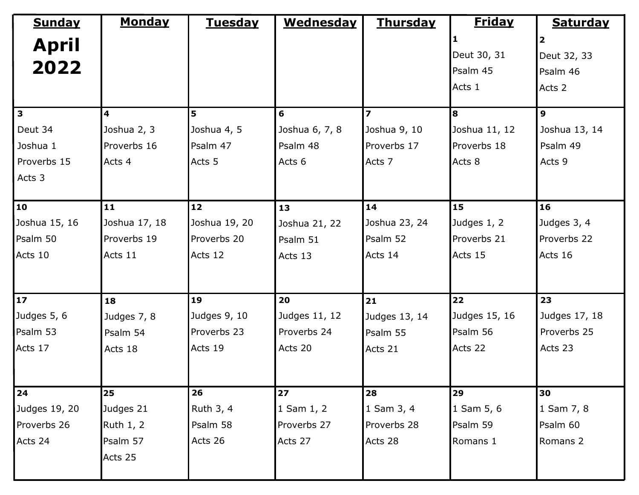| <b>Sunday</b> | <b>Monday</b>    | <b>Tuesday</b> | <b>Wednesday</b> | <b>Thursday</b>          | <u>Friday</u> | <b>Saturday</b> |
|---------------|------------------|----------------|------------------|--------------------------|---------------|-----------------|
| <b>April</b>  |                  |                |                  |                          |               | 2               |
|               |                  |                |                  |                          | Deut 30, 31   | Deut 32, 33     |
| 2022          |                  |                |                  |                          | Psalm 45      | Psalm 46        |
|               |                  |                |                  |                          | Acts 1        | Acts 2          |
| $\mathbf{3}$  | 4                | 5              | 6                | $\overline{\phantom{a}}$ | 8             | $\mathbf{9}$    |
| Deut 34       | Joshua 2, 3      | Joshua 4, 5    | Joshua 6, 7, 8   | Joshua 9, 10             | Joshua 11, 12 | Joshua 13, 14   |
| Joshua 1      | Proverbs 16      | Psalm 47       | Psalm 48         | Proverbs 17              | Proverbs 18   | Psalm 49        |
| Proverbs 15   | Acts 4           | Acts 5         | Acts 6           | Acts 7                   | Acts 8        | Acts 9          |
| Acts 3        |                  |                |                  |                          |               |                 |
| 10            | 11               | 12             | 13               | 14                       | 15            | 16              |
| Joshua 15, 16 | Joshua 17, 18    | Joshua 19, 20  | Joshua 21, 22    | Joshua 23, 24            | Judges 1, 2   | Judges 3, 4     |
| Psalm 50      | Proverbs 19      | Proverbs 20    | Psalm 51         | Psalm 52                 | Proverbs 21   | Proverbs 22     |
| Acts 10       | Acts 11          | Acts 12        | Acts 13          | Acts 14                  | Acts 15       | Acts 16         |
|               |                  |                |                  |                          |               |                 |
|               |                  |                |                  |                          |               |                 |
| $17$          | 18               | 19             | 20               | 21                       | 22            | 23              |
| Judges 5, 6   | Judges 7, 8      | Judges 9, 10   | Judges 11, 12    | Judges 13, 14            | Judges 15, 16 | Judges 17, 18   |
| Psalm 53      | Psalm 54         | Proverbs 23    | Proverbs 24      | Psalm 55                 | Psalm 56      | Proverbs 25     |
| Acts 17       | Acts 18          | Acts 19        | Acts 20          | Acts 21                  | Acts 22       | Acts 23         |
|               |                  |                |                  |                          |               |                 |
| 24            | 25               | 26             | 27               | 28                       | 29            | 30              |
| Judges 19, 20 | Judges 21        | Ruth 3, 4      | 1 Sam $1, 2$     | 1 Sam 3, 4               | $1$ Sam 5, 6  | 1 Sam 7, 8      |
| Proverbs 26   | <b>Ruth 1, 2</b> | Psalm 58       | Proverbs 27      | Proverbs 28              | Psalm 59      | Psalm 60        |
| Acts 24       | Psalm 57         | Acts 26        | Acts 27          | Acts 28                  | Romans 1      | Romans 2        |
|               | Acts 25          |                |                  |                          |               |                 |
|               |                  |                |                  |                          |               |                 |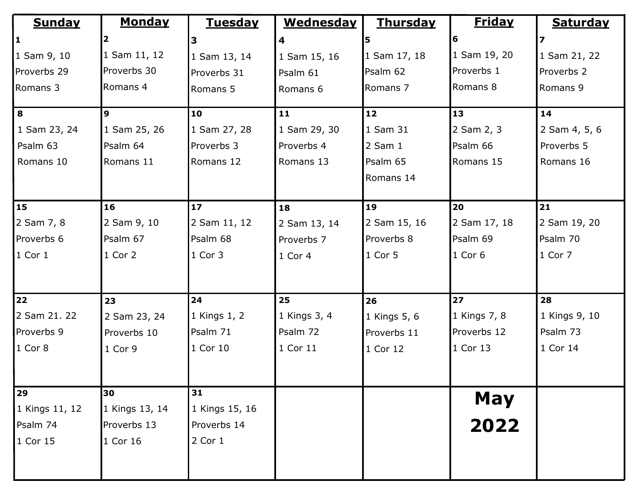| <b>Sunday</b>  | <b>Monday</b>  | <u>Tuesday</u> | <b>Wednesday</b>        | <b>Thursday</b> | <b>Friday</b> | <b>Saturday</b> |
|----------------|----------------|----------------|-------------------------|-----------------|---------------|-----------------|
| $\vert$ 1      |                | 3              | $\overline{\mathbf{4}}$ |                 | 16            | 7               |
| 1 Sam 9, 10    | 1 Sam 11, 12   | 1 Sam 13, 14   | 1 Sam 15, 16            | 1 Sam 17, 18    | 1 Sam 19, 20  | 1 Sam 21, 22    |
| Proverbs 29    | Proverbs 30    | Proverbs 31    | Psalm 61                | Psalm 62        | Proverbs 1    | Proverbs 2      |
| Romans 3       | Romans 4       | Romans 5       | Romans 6                | Romans 7        | Romans 8      | Romans 9        |
| $\vert$ 8      | 9              | 10             | 11                      | $12$            | <b>13</b>     | 14              |
| 1 Sam 23, 24   | 1 Sam 25, 26   | 1 Sam 27, 28   | 1 Sam 29, 30            | 1 Sam 31        | 2 Sam 2, 3    | 2 Sam 4, 5, 6   |
| Psalm 63       | Psalm 64       | Proverbs 3     | Proverbs 4              | $2$ Sam $1$     | Psalm 66      | Proverbs 5      |
| Romans 10      | Romans 11      | Romans 12      | Romans 13               | Psalm 65        | Romans 15     | Romans 16       |
|                |                |                |                         | Romans 14       |               |                 |
| <b>15</b>      | 16             | 17             | 18                      | 19              | 20            | 21              |
| 2 Sam 7, 8     | 2 Sam 9, 10    | 2 Sam 11, 12   | 2 Sam 13, 14            | 2 Sam 15, 16    | 2 Sam 17, 18  | 2 Sam 19, 20    |
| Proverbs 6     | Psalm 67       | Psalm 68       | Proverbs 7              | Proverbs 8      | Psalm 69      | Psalm 70        |
| $1$ Cor 1      | 1 Cor 2        | 1 Cor 3        | 1 Cor 4                 | 1 Cor 5         | $1$ Cor 6     | 1 Cor 7         |
| 22             | 23             | 24             | 25                      | 26              | 27            | 28              |
| 2 Sam 21. 22   | 2 Sam 23, 24   | 1 Kings 1, 2   | 1 Kings 3, 4            | 1 Kings 5, 6    | 1 Kings 7, 8  | 1 Kings 9, 10   |
| Proverbs 9     | Proverbs 10    | Psalm 71       | Psalm 72                | Proverbs 11     | Proverbs 12   | Psalm 73        |
| $1$ Cor 8      | 1 Cor 9        | 1 Cor 10       | 1 Cor 11                | 1 Cor 12        | $1$ Cor 13    | 1 Cor 14        |
| 29             | 30             | 31             |                         |                 |               |                 |
| 1 Kings 11, 12 | 1 Kings 13, 14 | 1 Kings 15, 16 |                         |                 | <b>May</b>    |                 |
| Psalm 74       | Proverbs 13    | Proverbs 14    |                         |                 | 2022          |                 |
| 1 Cor 15       | 1 Cor 16       | 2 Cor 1        |                         |                 |               |                 |